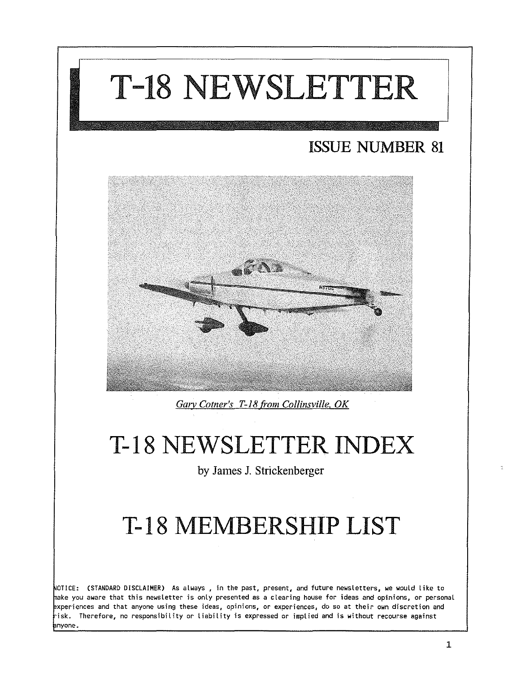

by James 1. Strickenberger

# T-18 MEMBERSHIP LIST

NOTICE: (STANDARD DISCLAIMER) As always , in the past, present, and future newsletters, we would like to ake you aware that this newsletter is only presented as a clearing house for ideas and opinions, or personal experiences and that anyone using these ideas, opinions, or experiences, do so at their own discretion and  $\dot{\mathsf{h}}$ isk. Therefore, no responsibility or liability is expressed or implied and is without recourse against **a**nyone.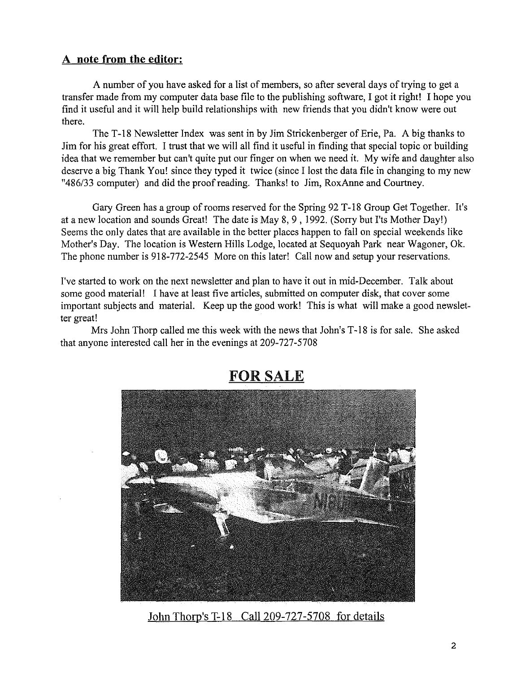#### **A note from the editor:**

A number of you have asked for a list of members, so after several days of trying to get a transfer made from my computer data base file to the publishing software, I got it right! I hope you find it useful and it will help build relationships with new friends that you didn't know were out there.

The T-18 Newsletter Index was sent in by Jim Strickenberger of Erie, Pa. A big thanks to Jim for his great effort. I trust that we will all find it useful in finding that special topic or building idea that we remember but can't quite put our finger on when we need it. My wife and daughter also deserve a big Thank You! since they typed it twice (since I lost the data file in changing to my new *"486/33* computer) and did the proofreading. Thanks! to Jim, RoxAnne and Courtney.

Gary Green has a group of rooms reserved for the Spring 92 T-18 Group Get Together. It's at a new location and sounds Great! The date is May 8, 9 , 1992. (Sorry but I'ts Mother Day!) Seems the only dates that are available in the better places happen to fall on special weekends like Mother's Day. The location is Western Hills Lodge, located at Sequoyah Park near Wagoner, Ok. The phone number is 918-772-2545 More on this later! Call now and setup your reservations.

I've started to work on the next newsletter and plan to have it out in mid-December. Talk about some good material! I have at least five articles, submitted on computer disk, that cover some important subjects and material. Keep up the good work! This is what will make a good newsletter great!

Mrs John Thorp called me this week with the news that John's T-18 is for sale. She asked that anyone interested call her in the evenings at 209-727-5708



#### FOR SALE

John Thorp's T-18 Call 209-727-5708 for details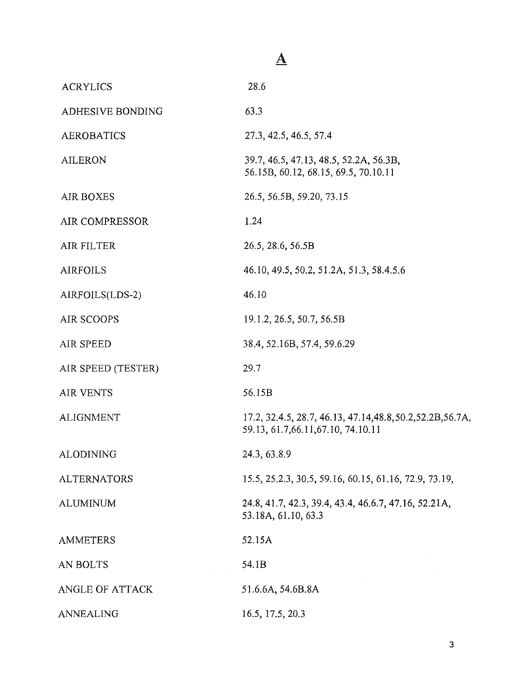### $\underline{\mathbf{A}}$

| <b>ACRYLICS</b>       | 28.6                                                                                               |
|-----------------------|----------------------------------------------------------------------------------------------------|
| ADHESIVE BONDING      | 63.3                                                                                               |
| <b>AEROBATICS</b>     | 27.3, 42.5, 46.5, 57.4                                                                             |
| <b>AILERON</b>        | 39.7, 46.5, 47.13, 48.5, 52.2A, 56.3B,<br>56.15B, 60.12, 68.15, 69.5, 70.10.11                     |
| <b>AIR BOXES</b>      | 26.5, 56.5B, 59.20, 73.15                                                                          |
| <b>AIR COMPRESSOR</b> | 1.24                                                                                               |
| AIR FILTER            | 26.5, 28.6, 56.5B                                                                                  |
| <b>AIRFOILS</b>       | 46.10, 49.5, 50.2, 51.2A, 51.3, 58.4.5.6                                                           |
| AIRFOILS(LDS-2)       | 46.10                                                                                              |
| <b>AIR SCOOPS</b>     | 19.1.2, 26.5, 50.7, 56.5B                                                                          |
| AIR SPEED             | 38.4, 52.16B, 57.4, 59.6.29                                                                        |
| AIR SPEED (TESTER)    | 29.7                                                                                               |
| <b>AIR VENTS</b>      | 56.15B                                                                                             |
| <b>ALIGNMENT</b>      | 17.2, 32.4.5, 28.7, 46.13, 47.14, 48.8, 50.2, 52.2B, 56.7A,<br>59.13, 61.7, 66.11, 67.10, 74.10.11 |
| ALODINING             | 24.3, 63.8.9                                                                                       |
| <b>ALTERNATORS</b>    | 15.5, 25.2.3, 30.5, 59.16, 60.15, 61.16, 72.9, 73.19,                                              |
| ALUMINUM              | 24.8, 41.7, 42.3, 39.4, 43.4, 46.6.7, 47.16, 52.21A,<br>53.18A, 61.10, 63.3                        |
| <b>AMMETERS</b>       | 52.15A                                                                                             |
| AN BOLTS              | 54.1B                                                                                              |
| ANGLE OF ATTACK       | 51.6.6A, 54.6B.8A                                                                                  |
| ANNEALING             | 16.5, 17.5, 20.3                                                                                   |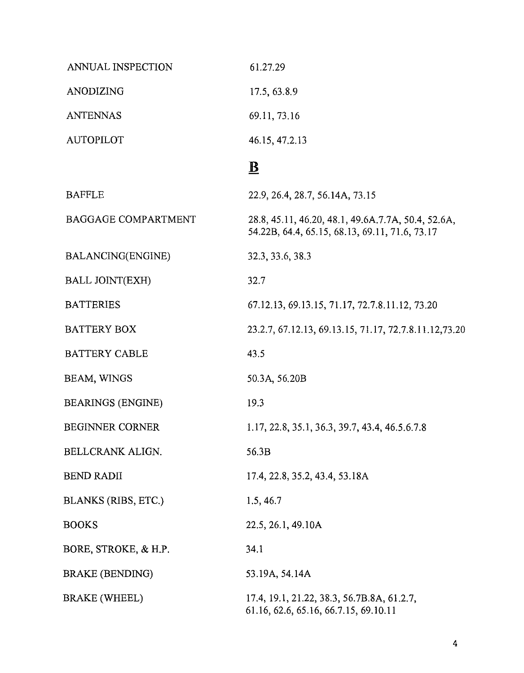| ANNUAL INSPECTION          | 61.27.29                                                                                             |
|----------------------------|------------------------------------------------------------------------------------------------------|
| ANODIZING                  | 17.5, 63.8.9                                                                                         |
| <b>ANTENNAS</b>            | 69.11, 73.16                                                                                         |
| <b>AUTOPILOT</b>           | 46.15, 47.2.13                                                                                       |
|                            | $\mathbf{B}$                                                                                         |
| <b>BAFFLE</b>              | 22.9, 26.4, 28.7, 56.14A, 73.15                                                                      |
| <b>BAGGAGE COMPARTMENT</b> | 28.8, 45.11, 46.20, 48.1, 49.6A.7.7A, 50.4, 52.6A,<br>54.22B, 64.4, 65.15, 68.13, 69.11, 71.6, 73.17 |
| <b>BALANCING(ENGINE)</b>   | 32.3, 33.6, 38.3                                                                                     |
| <b>BALL JOINT(EXH)</b>     | 32.7                                                                                                 |
| <b>BATTERIES</b>           | 67.12.13, 69.13.15, 71.17, 72.7.8.11.12, 73.20                                                       |
| <b>BATTERY BOX</b>         | 23.2.7, 67.12.13, 69.13.15, 71.17, 72.7.8.11.12, 73.20                                               |
| <b>BATTERY CABLE</b>       | 43.5                                                                                                 |
| BEAM, WINGS                | 50.3A, 56.20B                                                                                        |
| <b>BEARINGS (ENGINE)</b>   | 19.3                                                                                                 |
| <b>BEGINNER CORNER</b>     | 1.17, 22.8, 35.1, 36.3, 39.7, 43.4, 46.5.6.7.8                                                       |
| BELLCRANK ALIGN.           | 56.3B                                                                                                |
| <b>BEND RADII</b>          | 17.4, 22.8, 35.2, 43.4, 53.18A                                                                       |
| BLANKS (RIBS, ETC.)        | 1.5, 46.7                                                                                            |
| <b>BOOKS</b>               | 22.5, 26.1, 49.10A                                                                                   |
| BORE, STROKE, & H.P.       | 34.1                                                                                                 |
| BRAKE (BENDING)            | 53.19A, 54.14A                                                                                       |
| BRAKE (WHEEL)              | 17.4, 19.1, 21.22, 38.3, 56.7B.8A, 61.2.7,<br>61.16, 62.6, 65.16, 66.7.15, 69.10.11                  |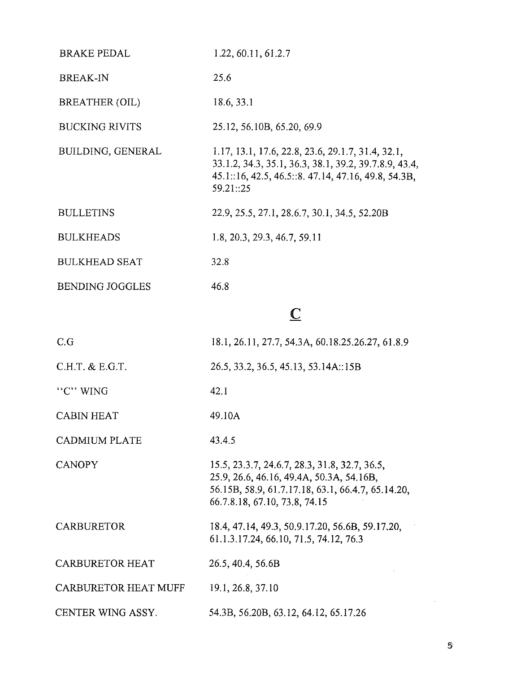| <b>BRAKE PEDAL</b>     | 1.22, 60.11, 61.2.7                                                                                                                                                           |
|------------------------|-------------------------------------------------------------------------------------------------------------------------------------------------------------------------------|
| <b>BREAK-IN</b>        | 25.6                                                                                                                                                                          |
| <b>BREATHER (OIL)</b>  | 18.6, 33.1                                                                                                                                                                    |
| <b>BUCKING RIVITS</b>  | 25.12, 56.10B, 65.20, 69.9                                                                                                                                                    |
| BUILDING, GENERAL      | 1.17, 13.1, 17.6, 22.8, 23.6, 29.1.7, 31.4, 32.1,<br>33.1.2, 34.3, 35.1, 36.3, 38.1, 39.2, 39.7.8.9, 43.4,<br>45.1:16, 42.5, 46.5::8, 47.14, 47.16, 49.8, 54.3B,<br>59.21::25 |
| <b>BULLETINS</b>       | 22.9, 25.5, 27.1, 28.6.7, 30.1, 34.5, 52.20B                                                                                                                                  |
| <b>BULKHEADS</b>       | 1.8, 20.3, 29.3, 46.7, 59.11                                                                                                                                                  |
| <b>BULKHEAD SEAT</b>   | 32.8                                                                                                                                                                          |
| <b>BENDING JOGGLES</b> | 46.8                                                                                                                                                                          |
|                        | C                                                                                                                                                                             |
| C.G                    | 18.1, 26.11, 27.7, 54.3A, 60.18.25.26.27, 61.8.9                                                                                                                              |
| C.H.T. & E.G.T.        | 26.5, 33.2, 36.5, 45.13, 53.14A::15B                                                                                                                                          |

"C" WING

CABIN HEAT 49.10A

CADMIUM PLATE 43.4.5

CANOPY

15.5,23.3.7,24.6.7,28.3,31.8,32.7,36.5, 25.9,26.6,46.16, 49.4A, 50.3A, 54.16B, 56.15B, 58.9, 61.7.17.18, 63.1, 66.4.7, 65.14.20, 66.7.8.18,67.10,73.8,74.15

#### CARBURETOR 18.4,47.14,49.3,50.9.17.20, 56.6B, 59.17.20, 61.1.3.17.24,66.10,71.5,74.12,76.3

42.1

CARBURETOR HEAT 26.5,40.4, 56.6B

CARBURETOR HEAT MUFF 19.1,26.8,37.10

CENTER WING ASSY. 54.3B, 56.20B, 63.12, 64.12, 65.17.26

 ${\bf 5}$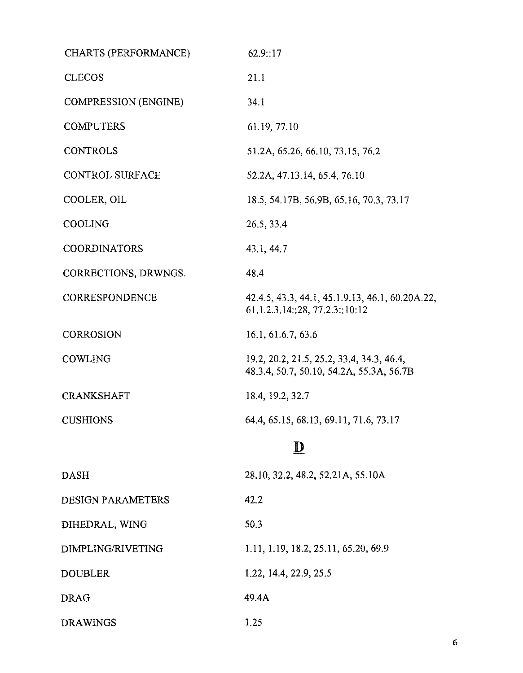| <b>CHARTS (PERFORMANCE)</b> | 62.9::17                                                                              |
|-----------------------------|---------------------------------------------------------------------------------------|
| <b>CLECOS</b>               | 21.1                                                                                  |
| <b>COMPRESSION (ENGINE)</b> | 34.1                                                                                  |
| <b>COMPUTERS</b>            | 61.19, 77.10                                                                          |
| <b>CONTROLS</b>             | 51.2A, 65.26, 66.10, 73.15, 76.2                                                      |
| <b>CONTROL SURFACE</b>      | 52.2A, 47.13.14, 65.4, 76.10                                                          |
| COOLER, OIL                 | 18.5, 54.17B, 56.9B, 65.16, 70.3, 73.17                                               |
| <b>COOLING</b>              | 26.5, 33.4                                                                            |
| <b>COORDINATORS</b>         | 43.1, 44.7                                                                            |
| CORRECTIONS, DRWNGS.        | 48.4                                                                                  |
| CORRESPONDENCE              | 42.4.5, 43.3, 44.1, 45.1.9.13, 46.1, 60.20A.22,<br>61.1.2.3.14::28, 77.2.3::10:12     |
| <b>CORROSION</b>            | 16.1, 61.6.7, 63.6                                                                    |
| COWLING                     | 19.2, 20.2, 21.5, 25.2, 33.4, 34.3, 46.4,<br>48.3.4, 50.7, 50.10, 54.2A, 55.3A, 56.7B |
| <b>CRANKSHAFT</b>           | 18.4, 19.2, 32.7                                                                      |
| <b>CUSHIONS</b>             | 64.4, 65.15, 68.13, 69.11, 71.6, 73.17                                                |
|                             | $\overline{\mathbf{D}}$                                                               |
| <b>DASH</b>                 | 28.10, 32.2, 48.2, 52.21A, 55.10A                                                     |
| <b>DESIGN PARAMETERS</b>    | 42.2                                                                                  |
| DIHEDRAL, WING              | 50.3                                                                                  |
| DIMPLING/RIVETING           | 1.11, 1.19, 18.2, 25.11, 65.20, 69.9                                                  |
| <b>DOUBLER</b>              | 1.22, 14.4, 22.9, 25.5                                                                |
| <b>DRAG</b>                 | 49.4A                                                                                 |
| <b>DRAWINGS</b>             | 1.25                                                                                  |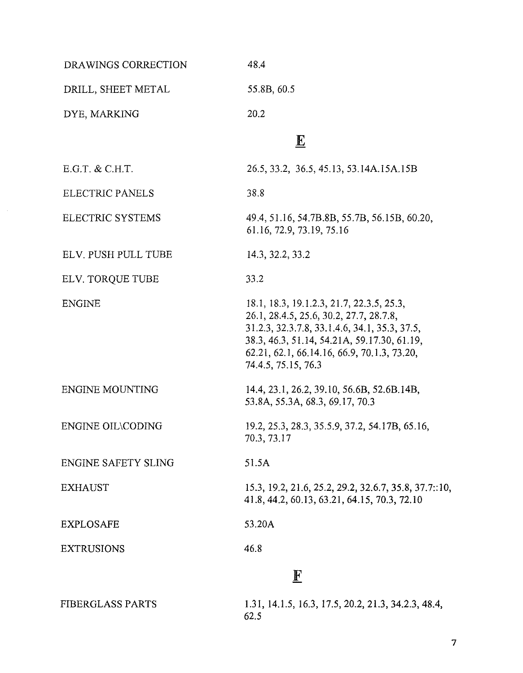| 48.4                                                                                                                                                                                                                                                       |
|------------------------------------------------------------------------------------------------------------------------------------------------------------------------------------------------------------------------------------------------------------|
| 55.8B, 60.5                                                                                                                                                                                                                                                |
| 20.2                                                                                                                                                                                                                                                       |
| $\overline{\mathbf{E}}$                                                                                                                                                                                                                                    |
| 26.5, 33.2, 36.5, 45.13, 53.14A.15A.15B                                                                                                                                                                                                                    |
| 38.8                                                                                                                                                                                                                                                       |
| 49.4, 51.16, 54.7B.8B, 55.7B, 56.15B, 60.20,<br>61.16, 72.9, 73.19, 75.16                                                                                                                                                                                  |
| 14.3, 32.2, 33.2                                                                                                                                                                                                                                           |
| 33.2                                                                                                                                                                                                                                                       |
| 18.1, 18.3, 19.1.2.3, 21.7, 22.3.5, 25.3,<br>26.1, 28.4.5, 25.6, 30.2, 27.7, 28.7.8,<br>31.2.3, 32.3.7.8, 33.1.4.6, 34.1, 35.3, 37.5,<br>38.3, 46.3, 51.14, 54.21A, 59.17.30, 61.19,<br>62.21, 62.1, 66.14.16, 66.9, 70.1.3, 73.20,<br>74.4.5, 75.15, 76.3 |
| 14.4, 23.1, 26.2, 39.10, 56.6B, 52.6B.14B,<br>53.8A, 55.3A, 68.3, 69.17, 70.3                                                                                                                                                                              |
| 19.2, 25.3, 28.3, 35.5.9, 37.2, 54.17B, 65.16,<br>70.3, 73.17                                                                                                                                                                                              |
| 51.5A                                                                                                                                                                                                                                                      |
| 15.3, 19.2, 21.6, 25.2, 29.2, 32.6.7, 35.8, 37.7::10,<br>41.8, 44.2, 60.13, 63.21, 64.15, 70.3, 72.10                                                                                                                                                      |
| 53.20A                                                                                                                                                                                                                                                     |
| 46.8                                                                                                                                                                                                                                                       |
| $\mathbf{F}$                                                                                                                                                                                                                                               |
|                                                                                                                                                                                                                                                            |

FIBERGLASS PARTS

1.31,14.1.5,16.3,17.5,20.2,21.3,34.2.3,48.4, 62.5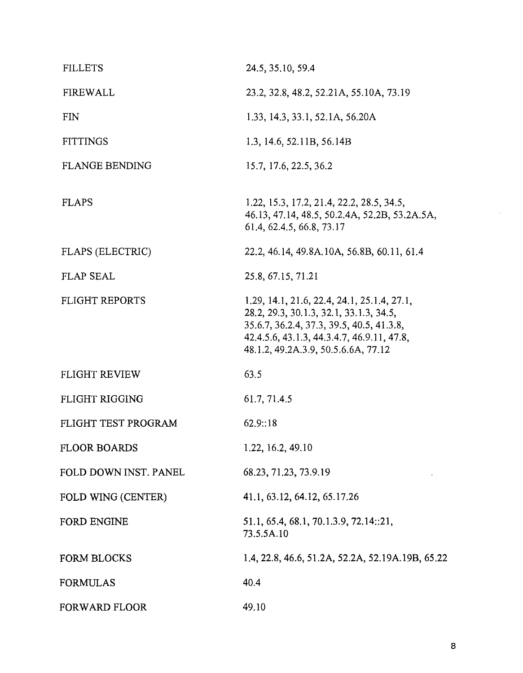| <b>FILLETS</b>        | 24.5, 35.10, 59.4                                                                                                                                                                                                        |
|-----------------------|--------------------------------------------------------------------------------------------------------------------------------------------------------------------------------------------------------------------------|
| <b>FIREWALL</b>       | 23.2, 32.8, 48.2, 52.21A, 55.10A, 73.19                                                                                                                                                                                  |
| <b>FIN</b>            | 1.33, 14.3, 33.1, 52.1A, 56.20A                                                                                                                                                                                          |
| <b>FITTINGS</b>       | 1.3, 14.6, 52.11B, 56.14B                                                                                                                                                                                                |
| <b>FLANGE BENDING</b> | 15.7, 17.6, 22.5, 36.2                                                                                                                                                                                                   |
| <b>FLAPS</b>          | 1.22, 15.3, 17.2, 21.4, 22.2, 28.5, 34.5,<br>46.13, 47.14, 48.5, 50.2.4A, 52.2B, 53.2A.5A,<br>61.4, 62.4.5, 66.8, 73.17                                                                                                  |
| FLAPS (ELECTRIC)      | 22.2, 46.14, 49.8A.10A, 56.8B, 60.11, 61.4                                                                                                                                                                               |
| <b>FLAP SEAL</b>      | 25.8, 67.15, 71.21                                                                                                                                                                                                       |
| <b>FLIGHT REPORTS</b> | 1.29, 14.1, 21.6, 22.4, 24.1, 25.1.4, 27.1,<br>28.2, 29.3, 30.1.3, 32.1, 33.1.3, 34.5,<br>35.6.7, 36.2.4, 37.3, 39.5, 40.5, 41.3.8,<br>42.4.5.6, 43.1.3, 44.3.4.7, 46.9.11, 47.8,<br>48.1.2, 49.2A.3.9, 50.5.6.6A, 77.12 |
| <b>FLIGHT REVIEW</b>  | 63.5                                                                                                                                                                                                                     |
| <b>FLIGHT RIGGING</b> | 61.7, 71.4.5                                                                                                                                                                                                             |
| FLIGHT TEST PROGRAM   | 62.9::18                                                                                                                                                                                                                 |
| <b>FLOOR BOARDS</b>   | 1.22, 16.2, 49.10                                                                                                                                                                                                        |
| FOLD DOWN INST. PANEL | 68.23, 71.23, 73.9.19                                                                                                                                                                                                    |
| FOLD WING (CENTER)    | 41.1, 63.12, 64.12, 65.17.26                                                                                                                                                                                             |
| <b>FORD ENGINE</b>    | 51.1, 65.4, 68.1, 70.1.3.9, 72.14::21,<br>73.5.5A.10                                                                                                                                                                     |
| <b>FORM BLOCKS</b>    | 1.4, 22.8, 46.6, 51.2A, 52.2A, 52.19A.19B, 65.22                                                                                                                                                                         |
| <b>FORMULAS</b>       | 40.4                                                                                                                                                                                                                     |
| <b>FORWARD FLOOR</b>  | 49.10                                                                                                                                                                                                                    |

 $\omega$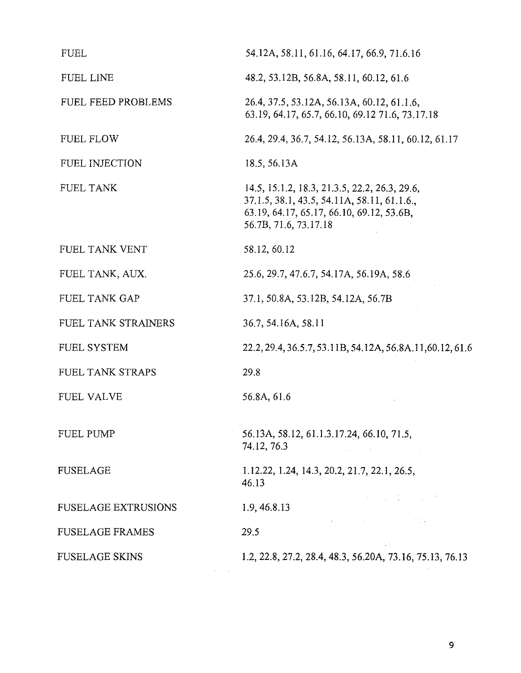| <b>FUEL</b>                | 54.12A, 58.11, 61.16, 64.17, 66.9, 71.6.16                                                                                                                         |
|----------------------------|--------------------------------------------------------------------------------------------------------------------------------------------------------------------|
| FUEL LINE                  | 48.2, 53.12B, 56.8A, 58.11, 60.12, 61.6                                                                                                                            |
| FUEL FEED PROBLEMS         | 26.4, 37.5, 53.12A, 56.13A, 60.12, 61.1.6,<br>63.19, 64.17, 65.7, 66.10, 69.12 71.6, 73.17.18                                                                      |
| <b>FUEL FLOW</b>           | 26.4, 29.4, 36.7, 54.12, 56.13A, 58.11, 60.12, 61.17                                                                                                               |
| <b>FUEL INJECTION</b>      | 18.5, 56.13A                                                                                                                                                       |
| FUEL TANK                  | 14.5, 15.1.2, 18.3, 21.3.5, 22.2, 26.3, 29.6,<br>37.1.5, 38.1, 43.5, 54.11A, 58.11, 61.1.6.,<br>63.19, 64.17, 65.17, 66.10, 69.12, 53.6B,<br>56.7B, 71.6, 73.17.18 |
| FUEL TANK VENT             | 58.12, 60.12                                                                                                                                                       |
| FUEL TANK, AUX.            | 25.6, 29.7, 47.6.7, 54.17A, 56.19A, 58.6                                                                                                                           |
| <b>FUEL TANK GAP</b>       | 37.1, 50.8A, 53.12B, 54.12A, 56.7B                                                                                                                                 |
| FUEL TANK STRAINERS        | 36.7, 54.16A, 58.11                                                                                                                                                |
| FUEL SYSTEM                | 22.2, 29.4, 36.5.7, 53.11B, 54.12A, 56.8A.11, 60.12, 61.6                                                                                                          |
| FUEL TANK STRAPS           | 29.8                                                                                                                                                               |
| <b>FUEL VALVE</b>          | 56.8A, 61.6                                                                                                                                                        |
| FUEL PUMP                  | 56.13A, 58.12, 61.1.3.17.24, 66.10, 71.5,<br>74.12, 76.3                                                                                                           |
| <b>FUSELAGE</b>            | 1.12.22, 1.24, 14.3, 20.2, 21.7, 22.1, 26.5,<br>46.13                                                                                                              |
| <b>FUSELAGE EXTRUSIONS</b> | 1.9, 46.8.13                                                                                                                                                       |
| <b>FUSELAGE FRAMES</b>     | 经未成本<br>Report Follows (2004) and the state<br>29.5                                                                                                                |
| <b>FUSELAGE SKINS</b>      | 1.2, 22.8, 27.2, 28.4, 48.3, 56.20A, 73.16, 75.13, 76.13                                                                                                           |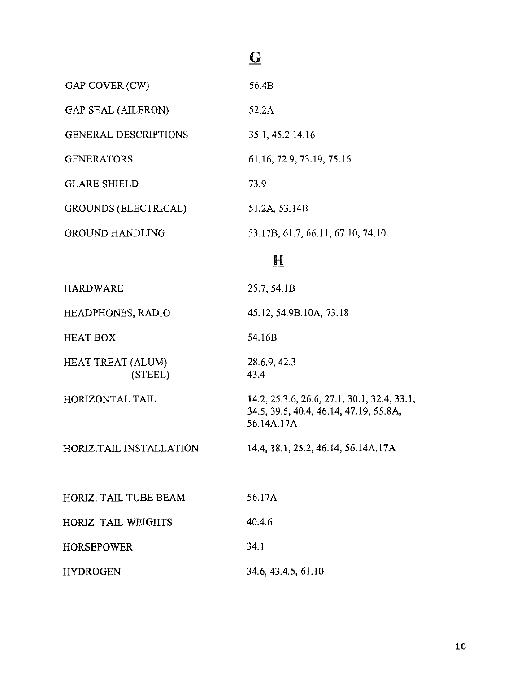### $\overline{\mathbf{G}}$

| GAP COVER (CW)              | 56.4B                             |
|-----------------------------|-----------------------------------|
| <b>GAP SEAL (AILERON)</b>   | 52.2A                             |
| <b>GENERAL DESCRIPTIONS</b> | 35.1, 45.2.14.16                  |
| <b>GENERATORS</b>           | 61.16, 72.9, 73.19, 75.16         |
| <b>GLARE SHIELD</b>         | 73.9                              |
| <b>GROUNDS (ELECTRICAL)</b> | 51.2A, 53.14B                     |
| GROUND HANDLING             | 53.17B, 61.7, 66.11, 67.10, 74.10 |

#### $\underline{\mathbf{H}}$

| <b>HARDWARE</b>                     | 25.7, 54.1B                                                                                         |
|-------------------------------------|-----------------------------------------------------------------------------------------------------|
| HEADPHONES, RADIO                   | 45.12, 54.9B.10A, 73.18                                                                             |
| <b>HEAT BOX</b>                     | 54.16B                                                                                              |
| <b>HEAT TREAT (ALUM)</b><br>(STEEL) | 28.6.9, 42.3<br>43.4                                                                                |
| HORIZONTAL TAIL                     | 14.2, 25.3.6, 26.6, 27.1, 30.1, 32.4, 33.1,<br>34.5, 39.5, 40.4, 46.14, 47.19, 55.8A,<br>56.14A.17A |
| <b>HORIZ.TAIL INSTALLATION</b>      | 14.4, 18.1, 25.2, 46.14, 56.14A.17A                                                                 |
| HORIZ. TAIL TUBE BEAM               | 56.17A                                                                                              |
| <b>HORIZ. TAIL WEIGHTS</b>          | 40.4.6                                                                                              |
| <b>HORSEPOWER</b>                   | 34.1                                                                                                |
| <b>HYDROGEN</b>                     | 34.6, 43.4.5, 61.10                                                                                 |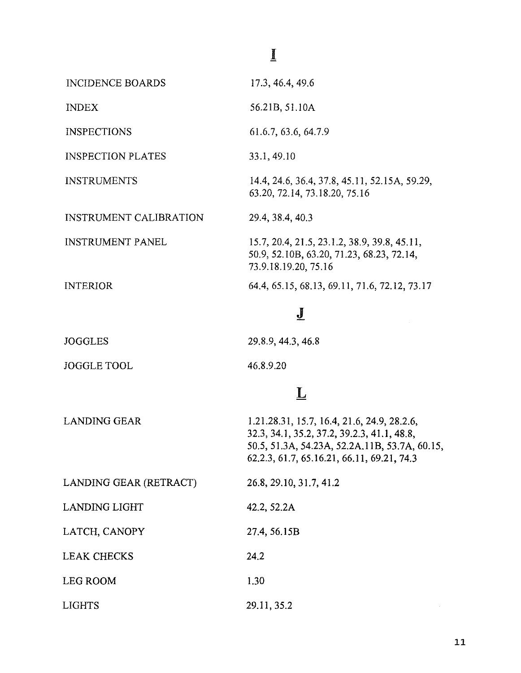### $\mathbf{I}%$

| <b>INCIDENCE BOARDS</b>       | 17.3, 46.4, 49.6                                                                                                                                                                          |
|-------------------------------|-------------------------------------------------------------------------------------------------------------------------------------------------------------------------------------------|
| <b>INDEX</b>                  | 56.21B, 51.10A                                                                                                                                                                            |
| <b>INSPECTIONS</b>            | 61.6.7, 63.6, 64.7.9                                                                                                                                                                      |
| <b>INSPECTION PLATES</b>      | 33.1, 49.10                                                                                                                                                                               |
| <b>INSTRUMENTS</b>            | 14.4, 24.6, 36.4, 37.8, 45.11, 52.15A, 59.29,<br>63.20, 72.14, 73.18.20, 75.16                                                                                                            |
| <b>INSTRUMENT CALIBRATION</b> | 29.4, 38.4, 40.3                                                                                                                                                                          |
| <b>INSTRUMENT PANEL</b>       | 15.7, 20.4, 21.5, 23.1.2, 38.9, 39.8, 45.11,<br>50.9, 52.10B, 63.20, 71.23, 68.23, 72.14,<br>73.9.18.19.20, 75.16                                                                         |
| <b>INTERIOR</b>               | 64.4, 65.15, 68.13, 69.11, 71.6, 72.12, 73.17                                                                                                                                             |
|                               | <u>J</u>                                                                                                                                                                                  |
| <b>JOGGLES</b>                | 29.8.9, 44.3, 46.8                                                                                                                                                                        |
| <b>JOGGLE TOOL</b>            | 46.8.9.20                                                                                                                                                                                 |
|                               | $\overline{\mathsf{L}}$                                                                                                                                                                   |
| <b>LANDING GEAR</b>           | 1.21.28.31, 15.7, 16.4, 21.6, 24.9, 28.2.6,<br>32.3, 34.1, 35.2, 37.2, 39.2.3, 41.1, 48.8,<br>50.5, 51.3A, 54.23A, 52.2A.11B, 53.7A, 60.15,<br>62.2.3, 61.7, 65.16.21, 66.11, 69.21, 74.3 |
| LANDING GEAR (RETRACT)        | 26.8, 29.10, 31.7, 41.2                                                                                                                                                                   |
| <b>LANDING LIGHT</b>          | 42.2, 52.2A                                                                                                                                                                               |
| LATCH, CANOPY                 | 27.4, 56.15B                                                                                                                                                                              |
| <b>LEAK CHECKS</b>            | 24.2                                                                                                                                                                                      |
| LEG ROOM                      | 1.30                                                                                                                                                                                      |

29.11,35.2

LIGHTS

11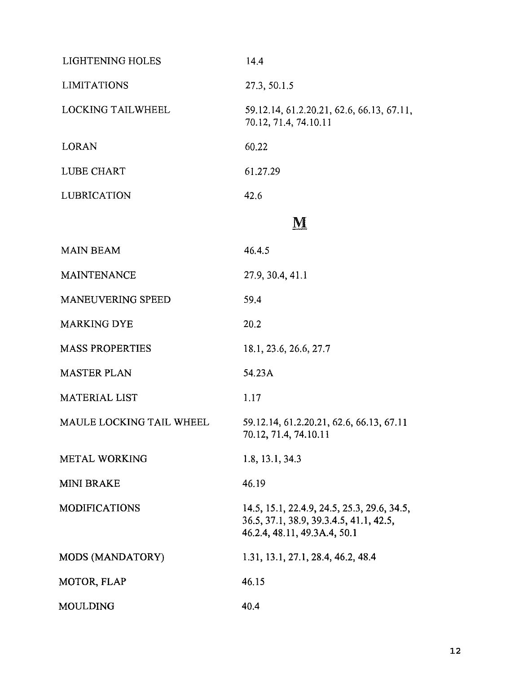| <b>LIGHTENING HOLES</b>  | 14.4                                                                                                                   |
|--------------------------|------------------------------------------------------------------------------------------------------------------------|
| <b>LIMITATIONS</b>       | 27.3, 50.1.5                                                                                                           |
| <b>LOCKING TAILWHEEL</b> | 59.12.14, 61.2.20.21, 62.6, 66.13, 67.11,<br>70.12, 71.4, 74.10.11                                                     |
| <b>LORAN</b>             | 60.22                                                                                                                  |
| LUBE CHART               | 61.27.29                                                                                                               |
| <b>LUBRICATION</b>       | 42.6                                                                                                                   |
|                          | M                                                                                                                      |
| <b>MAIN BEAM</b>         | 46.4.5                                                                                                                 |
| <b>MAINTENANCE</b>       | 27.9, 30.4, 41.1                                                                                                       |
| <b>MANEUVERING SPEED</b> | 59.4                                                                                                                   |
| <b>MARKING DYE</b>       | 20.2                                                                                                                   |
| <b>MASS PROPERTIES</b>   | 18.1, 23.6, 26.6, 27.7                                                                                                 |
| <b>MASTER PLAN</b>       | 54.23A                                                                                                                 |
| <b>MATERIAL LIST</b>     | 1.17                                                                                                                   |
| MAULE LOCKING TAIL WHEEL | 59.12.14, 61.2.20.21, 62.6, 66.13, 67.11<br>70.12, 71.4, 74.10.11                                                      |
| <b>METAL WORKING</b>     | 1.8, 13.1, 34.3                                                                                                        |
| <b>MINI BRAKE</b>        | 46.19                                                                                                                  |
| <b>MODIFICATIONS</b>     | 14.5, 15.1, 22.4.9, 24.5, 25.3, 29.6, 34.5,<br>36.5, 37.1, 38.9, 39.3.4.5, 41.1, 42.5,<br>46.2.4, 48.11, 49.3A.4, 50.1 |
| MODS (MANDATORY)         | 1.31, 13.1, 27.1, 28.4, 46.2, 48.4                                                                                     |
| MOTOR, FLAP              | 46.15                                                                                                                  |
| <b>MOULDING</b>          | 40.4                                                                                                                   |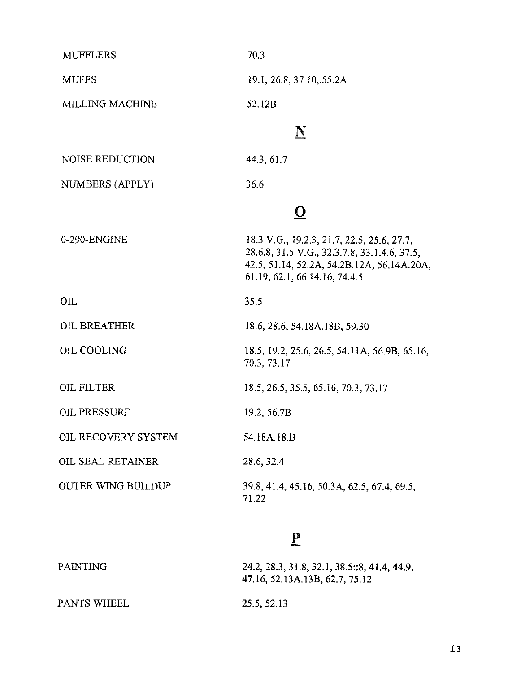| <b>MUFFLERS</b>           | 70.3                                                                                                                                                                      |
|---------------------------|---------------------------------------------------------------------------------------------------------------------------------------------------------------------------|
| <b>MUFFS</b>              | 19.1, 26.8, 37.10, 55.2A                                                                                                                                                  |
| <b>MILLING MACHINE</b>    | 52.12B                                                                                                                                                                    |
|                           | N                                                                                                                                                                         |
| <b>NOISE REDUCTION</b>    | 44.3, 61.7                                                                                                                                                                |
| NUMBERS (APPLY)           | 36.6                                                                                                                                                                      |
|                           | $\bf{O}$                                                                                                                                                                  |
| 0-290-ENGINE              | 18.3 V.G., 19.2.3, 21.7, 22.5, 25.6, 27.7,<br>28.6.8, 31.5 V.G., 32.3.7.8, 33.1.4.6, 37.5,<br>42.5, 51.14, 52.2A, 54.2B.12A, 56.14A.20A,<br>61.19, 62.1, 66.14.16, 74.4.5 |
| <b>OIL</b>                | 35.5                                                                                                                                                                      |
| <b>OIL BREATHER</b>       | 18.6, 28.6, 54.18A.18B, 59.30                                                                                                                                             |
| <b>OIL COOLING</b>        | 18.5, 19.2, 25.6, 26.5, 54.11A, 56.9B, 65.16,<br>70.3, 73.17                                                                                                              |
| <b>OIL FILTER</b>         | 18.5, 26.5, 35.5, 65.16, 70.3, 73.17                                                                                                                                      |
| <b>OIL PRESSURE</b>       | 19.2, 56.7B                                                                                                                                                               |
| OIL RECOVERY SYSTEM       | 54.18A.18.B                                                                                                                                                               |
| OIL SEAL RETAINER         | 28.6, 32.4                                                                                                                                                                |
| <b>OUTER WING BUILDUP</b> | 39.8, 41.4, 45.16, 50.3A, 62.5, 67.4, 69.5,<br>71.22                                                                                                                      |

#### $\underline{\mathbf{P}}$

PAINTING **24.2,28.3,31.8,32.1,38.5::8,41.4,44.9,**  47.16, 52. 13A. 13B, 62.7, 75.12

PANTS WHEEL

25.5,52.13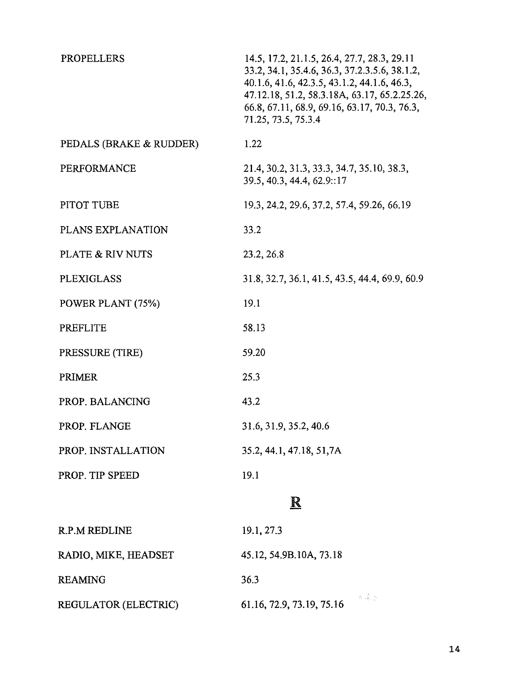| <b>PROPELLERS</b>       | 14.5, 17.2, 21.1.5, 26.4, 27.7, 28.3, 29.11<br>33.2, 34.1, 35.4.6, 36.3, 37.2.3.5.6, 38.1.2,<br>40.1.6, 41.6, 42.3.5, 43.1.2, 44.1.6, 46.3,<br>47.12.18, 51.2, 58.3.18A, 63.17, 65.2.25.26,<br>66.8, 67.11, 68.9, 69.16, 63.17, 70.3, 76.3,<br>71.25, 73.5, 75.3.4 |
|-------------------------|--------------------------------------------------------------------------------------------------------------------------------------------------------------------------------------------------------------------------------------------------------------------|
| PEDALS (BRAKE & RUDDER) | 1.22                                                                                                                                                                                                                                                               |
| <b>PERFORMANCE</b>      | 21.4, 30.2, 31.3, 33.3, 34.7, 35.10, 38.3,<br>39.5, 40.3, 44.4, 62.9::17                                                                                                                                                                                           |
| PITOT TUBE              | 19.3, 24.2, 29.6, 37.2, 57.4, 59.26, 66.19                                                                                                                                                                                                                         |
| PLANS EXPLANATION       | 33.2                                                                                                                                                                                                                                                               |
| PLATE & RIV NUTS        | 23.2, 26.8                                                                                                                                                                                                                                                         |
| <b>PLEXIGLASS</b>       | 31.8, 32.7, 36.1, 41.5, 43.5, 44.4, 69.9, 60.9                                                                                                                                                                                                                     |
| POWER PLANT (75%)       | 19.1                                                                                                                                                                                                                                                               |
| <b>PREFLITE</b>         | 58.13                                                                                                                                                                                                                                                              |
| PRESSURE (TIRE)         | 59.20                                                                                                                                                                                                                                                              |
| <b>PRIMER</b>           | 25.3                                                                                                                                                                                                                                                               |
| PROP. BALANCING         | 43.2                                                                                                                                                                                                                                                               |
| PROP. FLANGE            | 31.6, 31.9, 35.2, 40.6                                                                                                                                                                                                                                             |
| PROP. INSTALLATION      | 35.2, 44.1, 47.18, 51,7A                                                                                                                                                                                                                                           |
| PROP. TIP SPEED         | 19.1                                                                                                                                                                                                                                                               |
|                         | $\overline{\textbf{R}}$                                                                                                                                                                                                                                            |
| <b>R.P.M REDLINE</b>    | 19.1, 27.3                                                                                                                                                                                                                                                         |
|                         |                                                                                                                                                                                                                                                                    |

REAMING

REGULATOR (ELECTRIC)

RADIO, MIKE, HEADSET

45.12, 54.9B.lOA, 73.18

36.3

 $\propto \frac{3}{3} \varepsilon_0 \lambda$ 61.16,72.9,73.19,75.16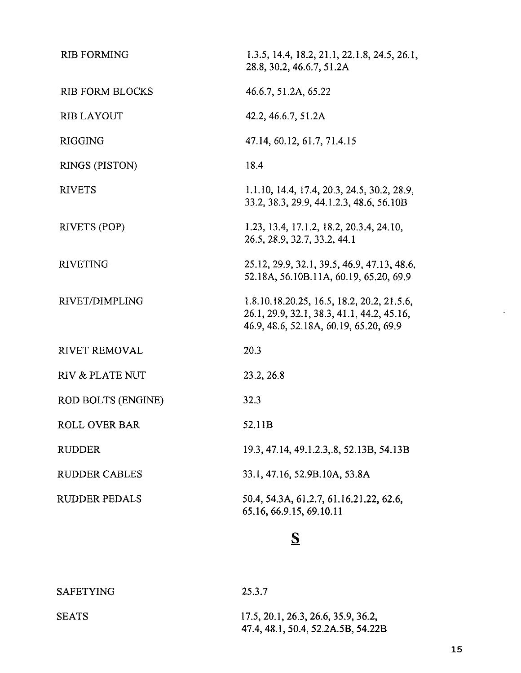| <b>RIB FORMING</b>        | 1.3.5, 14.4, 18.2, 21.1, 22.1.8, 24.5, 26.1,<br>28.8, 30.2, 46.6.7, 51.2A                                                          |
|---------------------------|------------------------------------------------------------------------------------------------------------------------------------|
| <b>RIB FORM BLOCKS</b>    | 46.6.7, 51.2A, 65.22                                                                                                               |
| <b>RIB LAYOUT</b>         | 42.2, 46.6.7, 51.2A                                                                                                                |
| <b>RIGGING</b>            | 47.14, 60.12, 61.7, 71.4.15                                                                                                        |
| RINGS (PISTON)            | 18.4                                                                                                                               |
| <b>RIVETS</b>             | 1.1.10, 14.4, 17.4, 20.3, 24.5, 30.2, 28.9,<br>33.2, 38.3, 29.9, 44.1.2.3, 48.6, 56.10B                                            |
| <b>RIVETS (POP)</b>       | 1.23, 13.4, 17.1.2, 18.2, 20.3.4, 24.10,<br>26.5, 28.9, 32.7, 33.2, 44.1                                                           |
| <b>RIVETING</b>           | 25.12, 29.9, 32.1, 39.5, 46.9, 47.13, 48.6,<br>52.18A, 56.10B.11A, 60.19, 65.20, 69.9                                              |
| RIVET/DIMPLING            | 1.8.10.18.20.25, 16.5, 18.2, 20.2, 21.5.6,<br>26.1, 29.9, 32.1, 38.3, 41.1, 44.2, 45.16,<br>46.9, 48.6, 52.18A, 60.19, 65.20, 69.9 |
| RIVET REMOVAL             | 20.3                                                                                                                               |
| RIV & PLATE NUT           | 23.2, 26.8                                                                                                                         |
| <b>ROD BOLTS (ENGINE)</b> | 32.3                                                                                                                               |
| ROLL OVER BAR             | 52.11B                                                                                                                             |
| RUDDER                    | 19.3, 47.14, 49.1.2.3, 8, 52.13B, 54.13B                                                                                           |
| RUDDER CABLES             | 33.1, 47.16, 52.9B.10A, 53.8A                                                                                                      |
| <b>RUDDER PEDALS</b>      | 50.4, 54.3A, 61.2.7, 61.16.21.22, 62.6,<br>65.16, 66.9.15, 69.10.11                                                                |
|                           |                                                                                                                                    |

## $\mathbf{S}$

| <b>SAFETYING</b> | 25.3.7                                                                    |
|------------------|---------------------------------------------------------------------------|
| <b>SEATS</b>     | 17.5, 20.1, 26.3, 26.6, 35.9, 36.2,<br>47.4, 48.1, 50.4, 52.2A.5B, 54.22B |

 $\bar{\zeta}$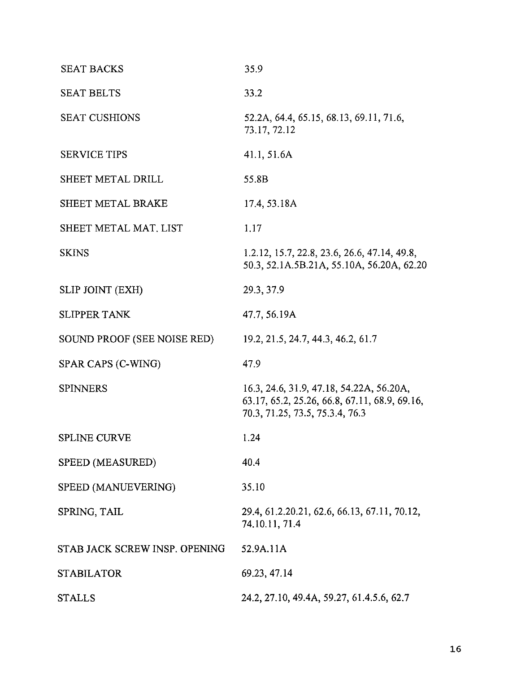| <b>SEAT BACKS</b>             | 35.9                                                                                                                         |
|-------------------------------|------------------------------------------------------------------------------------------------------------------------------|
| <b>SEAT BELTS</b>             | 33.2                                                                                                                         |
| <b>SEAT CUSHIONS</b>          | 52.2A, 64.4, 65.15, 68.13, 69.11, 71.6,<br>73.17, 72.12                                                                      |
| <b>SERVICE TIPS</b>           | 41.1, 51.6A                                                                                                                  |
| SHEET METAL DRILL             | 55.8B                                                                                                                        |
| SHEET METAL BRAKE             | 17.4, 53.18A                                                                                                                 |
| SHEET METAL MAT, LIST         | 1.17                                                                                                                         |
| <b>SKINS</b>                  | 1.2.12, 15.7, 22.8, 23.6, 26.6, 47.14, 49.8,<br>50.3, 52.1A.5B.21A, 55.10A, 56.20A, 62.20                                    |
| <b>SLIP JOINT (EXH)</b>       | 29.3, 37.9                                                                                                                   |
| <b>SLIPPER TANK</b>           | 47.7, 56.19A                                                                                                                 |
| SOUND PROOF (SEE NOISE RED)   | 19.2, 21.5, 24.7, 44.3, 46.2, 61.7                                                                                           |
| SPAR CAPS (C-WING)            | 47.9                                                                                                                         |
| <b>SPINNERS</b>               | 16.3, 24.6, 31.9, 47.18, 54.22A, 56.20A,<br>63.17, 65.2, 25.26, 66.8, 67.11, 68.9, 69.16,<br>70.3, 71.25, 73.5, 75.3.4, 76.3 |
| SPLINE CURVE                  | 1.24                                                                                                                         |
| SPEED (MEASURED)              | 40.4                                                                                                                         |
| SPEED (MANUEVERING)           | 35.10                                                                                                                        |
| SPRING, TAIL                  | 29.4, 61.2.20.21, 62.6, 66.13, 67.11, 70.12,<br>74.10.11, 71.4                                                               |
| STAB JACK SCREW INSP. OPENING | 52.9A.11A                                                                                                                    |
| STABILATOR                    | 69.23, 47.14                                                                                                                 |
| STALLS                        | 24.2, 27.10, 49.4A, 59.27, 61.4.5.6, 62.7                                                                                    |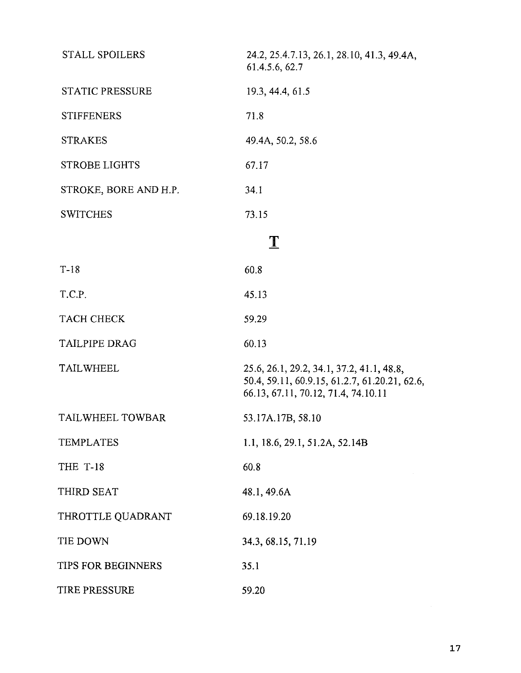| <b>STALL SPOILERS</b>  | 24.2, 25.4.7.13, 26.1, 28.10, 41.3, 49.4A,<br>61.4.5.6, 62.7                                                                      |
|------------------------|-----------------------------------------------------------------------------------------------------------------------------------|
| <b>STATIC PRESSURE</b> | 19.3, 44.4, 61.5                                                                                                                  |
| <b>STIFFENERS</b>      | 71.8                                                                                                                              |
| <b>STRAKES</b>         | 49.4A, 50.2, 58.6                                                                                                                 |
| <b>STROBE LIGHTS</b>   | 67.17                                                                                                                             |
| STROKE, BORE AND H.P.  | 34.1                                                                                                                              |
| <b>SWITCHES</b>        | 73.15                                                                                                                             |
|                        | $\mathbf T$                                                                                                                       |
| $T-18$                 | 60.8                                                                                                                              |
| T.C.P.                 | 45.13                                                                                                                             |
| <b>TACH CHECK</b>      | 59.29                                                                                                                             |
| <b>TAILPIPE DRAG</b>   | 60.13                                                                                                                             |
| <b>TAILWHEEL</b>       | 25.6, 26.1, 29.2, 34.1, 37.2, 41.1, 48.8,<br>50.4, 59.11, 60.9.15, 61.2.7, 61.20.21, 62.6,<br>66.13, 67.11, 70.12, 71.4, 74.10.11 |
| TAILWHEEL TOWBAR       | 53.17A.17B, 58.10                                                                                                                 |
| <b>TEMPLATES</b>       | 1.1, 18.6, 29.1, 51.2A, 52.14B                                                                                                    |
| THE T-18               | 60.8                                                                                                                              |
| THIRD SEAT             | 48.1, 49.6A                                                                                                                       |
| THROTTLE QUADRANT      | 69.18.19.20                                                                                                                       |
| TIE DOWN               | 34.3, 68.15, 71.19                                                                                                                |
| TIPS FOR BEGINNERS     | 35.1                                                                                                                              |
| TIRE PRESSURE          | 59.20                                                                                                                             |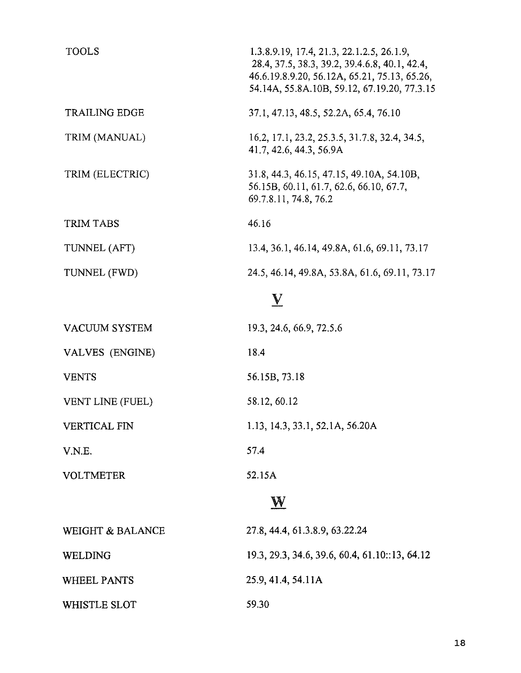| <b>TOOLS</b>            | 1.3.8.9.19, 17.4, 21.3, 22.1.2.5, 26.1.9,<br>28.4, 37.5, 38.3, 39.2, 39.4.6.8, 40.1, 42.4,<br>46.6.19.8.9.20, 56.12A, 65.21, 75.13, 65.26,<br>54.14A, 55.8A.10B, 59.12, 67.19.20, 77.3.15 |
|-------------------------|-------------------------------------------------------------------------------------------------------------------------------------------------------------------------------------------|
| <b>TRAILING EDGE</b>    | 37.1, 47.13, 48.5, 52.2A, 65.4, 76.10                                                                                                                                                     |
| TRIM (MANUAL)           | 16.2, 17.1, 23.2, 25.3.5, 31.7.8, 32.4, 34.5,<br>41.7, 42.6, 44.3, 56.9A                                                                                                                  |
| TRIM (ELECTRIC)         | 31.8, 44.3, 46.15, 47.15, 49.10A, 54.10B,<br>56.15B, 60.11, 61.7, 62.6, 66.10, 67.7,<br>69.7.8.11, 74.8, 76.2                                                                             |
| <b>TRIM TABS</b>        | 46.16                                                                                                                                                                                     |
| TUNNEL (AFT)            | 13.4, 36.1, 46.14, 49.8A, 61.6, 69.11, 73.17                                                                                                                                              |
| TUNNEL (FWD)            | 24.5, 46.14, 49.8A, 53.8A, 61.6, 69.11, 73.17                                                                                                                                             |
|                         | V                                                                                                                                                                                         |
| <b>VACUUM SYSTEM</b>    | 19.3, 24.6, 66.9, 72.5.6                                                                                                                                                                  |
| VALVES (ENGINE)         | 18.4                                                                                                                                                                                      |
| <b>VENTS</b>            | 56.15B, 73.18                                                                                                                                                                             |
| <b>VENT LINE (FUEL)</b> | 58.12, 60.12                                                                                                                                                                              |
| <b>VERTICAL FIN</b>     | 1.13, 14.3, 33.1, 52.1A, 56.20A                                                                                                                                                           |
| V.N.E.                  | 57.4                                                                                                                                                                                      |
| <b>VOLTMETER</b>        | 52.15A                                                                                                                                                                                    |
|                         | $\mathbf{W}$                                                                                                                                                                              |

WEIGHT & BALANCE WELDING WHEEL PANTS WHISTLE SLOT 27.8,44.4,61.3.8.9,63.22.24 19.3,29.3,34.6,39.6,60.4,61.10::13,64.12 25.9,41.4,54.11A 59.30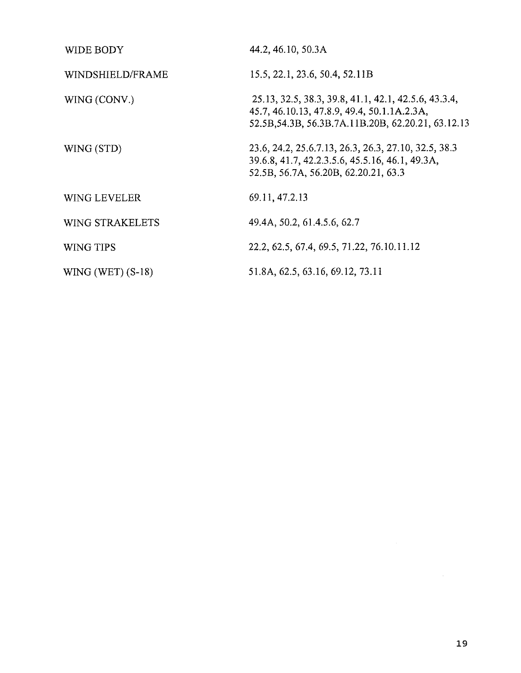| WIDE BODY              | 44.2, 46.10, 50.3A                                                                                                                                           |
|------------------------|--------------------------------------------------------------------------------------------------------------------------------------------------------------|
| WINDSHIELD/FRAME       | 15.5, 22.1, 23.6, 50.4, 52.11B                                                                                                                               |
| WING (CONV.)           | 25.13, 32.5, 38.3, 39.8, 41.1, 42.1, 42.5.6, 43.3.4,<br>45.7, 46.10.13, 47.8.9, 49.4, 50.1.1A.2.3A,<br>52.5B, 54.3B, 56.3B, 7A, 11B, 20B, 62.20.21, 63.12.13 |
| WING (STD)             | 23.6, 24.2, 25.6.7.13, 26.3, 26.3, 27.10, 32.5, 38.3<br>39.6.8, 41.7, 42.2.3.5.6, 45.5.16, 46.1, 49.3A,<br>52.5B, 56.7A, 56.20B, 62.20.21, 63.3              |
| <b>WING LEVELER</b>    | 69.11, 47.2.13                                                                                                                                               |
| <b>WING STRAKELETS</b> | 49.4A, 50.2, 61.4.5.6, 62.7                                                                                                                                  |
| WING TIPS              | 22.2, 62.5, 67.4, 69.5, 71.22, 76.10.11.12                                                                                                                   |
| WING (WET) $(S-18)$    | 51.8A, 62.5, 63.16, 69.12, 73.11                                                                                                                             |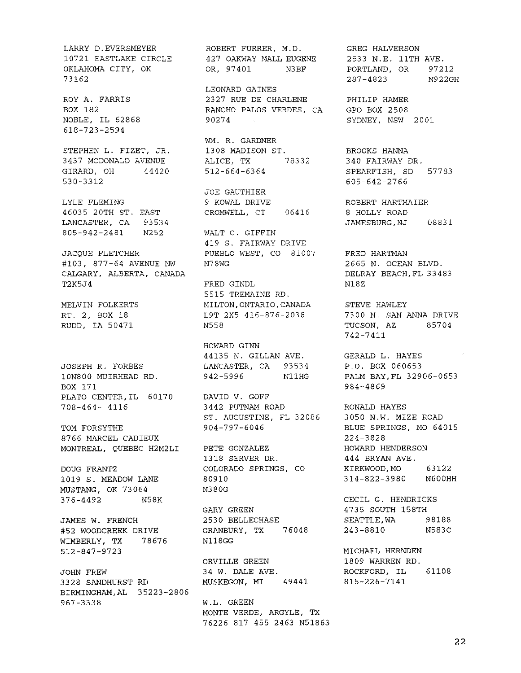LARRY D.EVERSMEYER 10721 EASTLAKE CIRCLE OKLAHOMA CITY, OK 73162 ROY A. FARRIS BOX 182 NOBLE, IL 62868 618-723-2594 STEPHEN L. FIZET, JR. 3437 MCDONALD AVENUE GIRARD, OH 44420 530-3312 LYLE FLEMING 46035 20TH ST. EAST LANCASTER, CA 93534 805-942-2481 N252 JACQUE FLETCHER #103, 877-64 AVENUE NW N78WG CALGARY, ALBERTA, CANADA T2K5J4 MELVIN FOLKERTS RT. 2, BOX 18 RUDD, IA 50471 JOSEPH R. FORBES 10N800 MUIRHEAD RD. BOX 171 PLATO CENTER,IL 60170 DAVID V. GOFF 708-464- 4116 TOM FORSYTHE 8766 MARCEL CADIEUX MONTREAL, QUEBEC H2M2LI DOUG FRANTZ 1019 S. MEADOW LANE MUSTANG, OK 73064 376-4492 N58K JAMES W. FRENCH #52 WOODCREEK DRIVE WIMBERLY, TX 78676 512-847-9723 JOHN FREW 3328 SANDHURST RD BIRMINGHAM,AL 35223-2806 967-3338 W.L. GREEN

ROBERT FURRER, M.D. 427 OAKWAY MALL EUGENE OR, 97401 N3BF

LEONARD GAINES 2327 RUE DE CHARLENE RANCHO PALOS VERDES, CA 90274

WM. R. GARDNER 1308 MADISON ST. ALICE, TX 78332 512-664-6364

JOE GAUTHIER 9 KOWAL DRIVE CROMWELL, CT 06416

> WALT C. GIFFIN 419 S. FAIRWAY DRIVE PUEBLO WEST, CO 81007

FRED GINDL 5515 TREMAINE RD. MILTON,ONTARIO, CANADA L9T 2X5 416-876-2038 N558

HOWARD GINN 44135 N. GILLAN AVE. LANCASTER, CA 93534 942-5996 N11HG

3442 PUTNAM ROAD ST. AUGUSTINE, FL 32086 904-797-6046

PETE GONZALEZ 1318 SERVER DR. COLORADO SPRINGS, CO 80910 N380G

GARY GREEN 2530 BELLECHASE GRANBURY, TX 76048 N118GG

ORVILLE GREEN 34 W. DALE AVE. MUSKEGON, MI 49441

MONTE VERDE, ARGYLE, TX 76226 817-455-2463 N51863

GREG HALVERSON 2533 N.E. 11TH AVE. PORTLAND, OR 97212 287-4823 N922GH

PHILIP HAMER GPO BOX 2508 SYDNEY, NSW 2001

BROOKS HANNA 340 FAIRWAY DR. SPEARFISH, SD 57783 605-642-2766

ROBERT HARTMAIER 8 HOLLY ROAD JAMESBURG,NJ 08831

FRED HARTMAN 2665 N. OCEAN BLVD. DELRAY BEACH, FL 33483 N18Z

STEVE HAWLEY 7300 N. SAN ANNA DRIVE TUCSON, AZ 85704 742-7411

GERALD L. HAYES P.O. BOX 060653 PALM BAY,FL 32906-0653 984-4869

RONALD HAYES 3050 N.W. MIZE ROAD BLUE SPRINGS, MO 64015 224-3828 HOWARD HENDERSON 444 BRYAN AVE. KIRKWOOD,MO 63122 314-822-3980 N600HH

CECIL G. HENDRICKS 4735 SOUTH 158TH SEATTLE,WA 98188 243-8810 N583C

MICHAEL HERNDEN 1809 WARREN RD. ROCKFORD, IL 61108 815-226-7141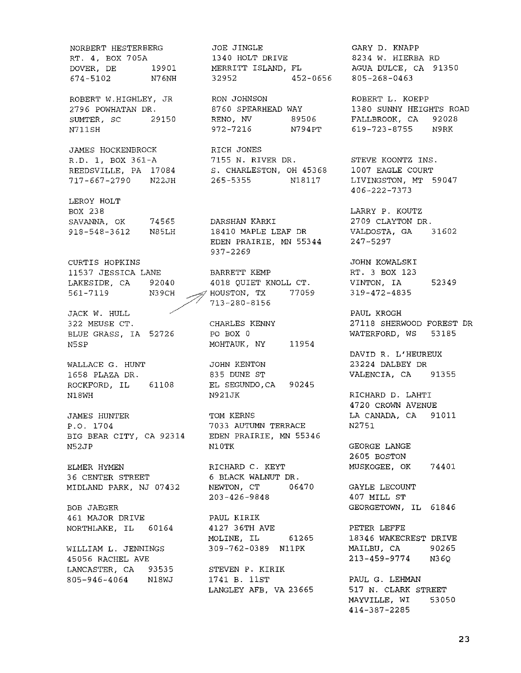NORBERT HESTERBERG RT. 4, BOX 705A DOVER, DE 19901 674-5102 N76NH

ROBERT W.HIGHLEY, JR 2796 POWHATAN DR. SUMTER, SC 29150 N711SH

JAMES HOCKENBROCK R.D. 1, BOX 361-A REEDSVILLE, PA 17084 717-667-2790 N22JH

LEROY HOLT BOX 238 SAVANNA, OK 918-548-3612 N85LH 74565

CURTIS HOPKINS 11537 JESSICA LANE LAKESIDE, CA 92040 561-7119

JACK W. HULL 322 MEUSE CT. BLUE GRASS, IA 52726 N5SP

WALLACE G. HUNT 1658 PLAZA DR. ROCKFORD, IL 61108 N18WH

JAMES HUNTER P.O. 1704 BIG BEAR CITY, CA 92314 N52JP

ELMER HYMEN 36 CENTER STREET MIDLAND PARK, NJ 07432

BOB JAEGER 461 MAJOR DRIVE NORTHLAKE, IL 60164

WILLIAM L. JENNINGS 45056 RACHEL AVE LANCASTER, CA 93535 805-946-4064 N18WJ

JOE JINGLE 1340 HOLT DRIVE MERRITT ISLAND, FL 32952 452-0656

RON JOHNSON 8760 SPEARHEAD WAY RENO, NV 89506 972-7216 N794PT

RICH JONES 7155 N. RIVER DR. S. CHARLESTON, OH 45368 265-5355 N18117

DARSHAN KARKI 18410 MAPLE LEAF DR EDEN PRAIRIE, MN 55344 937-2269

BARRETT KEMP 4018 QUIET KNOLL CT. N39CH ~ HOUSTON, TX 77059 / '/ 713-280-8156

> CHARLES KENNY PO BOX 0 MOHTAUK, NY 11954

JOHN KENTON 835 DUNE ST EL SEGUNDO,CA 90245 N921JK

TOM KERNS 7033 AUTUMN TERRACE EDEN PRAIRIE, MN 55346 N10TK

RICHARD C. KEYT 6 BLACK WALNUT DR. NEWTON, CT 06470 203-426-9848

PAUL KIRIK 4127 36TH AVE MOLINE, IL 61265 309-762-0389 N11PK

STEVEN P. KIRIK 1741 B. 11ST LANGLEY AFB, VA 23665

GARY D. KNAPP 8234 W. HIERBA RD AGUA DULCE, CA 91350 805-268-0463

ROBERT L. KOEPP 1380 SUNNY HEIGHTS ROAD FALLBROOK, CA 92028 619-723-8755 N9RK

STEVE KOONTZ INS. 1007 EAGLE COURT LIVINGSTON, MT 59047 406-222-7373

LARRY P. KOUTZ 2709 CLAYTON DR. VALDOSTA, GA 31602 247-5297

JOHN KOWALSKI RT. 3 BOX 123 VINTON, IA 52349 319-472-4835

PAUL KROGH 27118 SHERWOOD FOREST DR WATERFORD, WS 53185

DAVID R. L'HEUREUX 23224 DALBEY DR VALENCIA, CA 91355

RICHARD D. LAHTI 4720 CROWN AVENUE LA CANADA, CA 91011 N2751

GEORGE LANGE 2605 BOSTON MUSKOGEE, OK 74401

GAYLE LECOUNT 407 MILL ST GEORGETOWN, IL 61846

PETER LEFFE 18346 WAKECREST DRIVE MAILBU, CA 90265 213-459-9774 N36Q

PAUL G. LEHMAN 517 N. CLARK STREET MAYVILLE, WI 53050 414-387-2285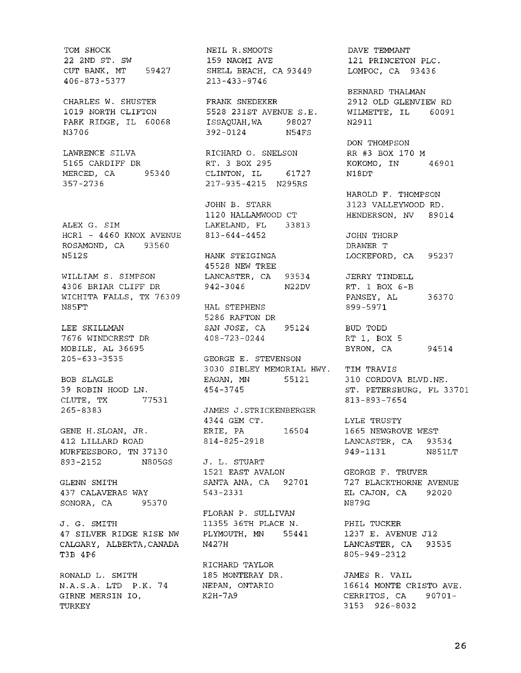TOM SHOCK 22 2ND ST. SW CUT BANK, MT 59427 406-873-5377

CHARLES W. SHUSTER 1019 NORTH CLIFTON PARK RIDGE, IL 60068 N3706

LAWRENCE SILVA 5165 CARDIFF DR MERCED, CA 95340 357-2736

ALEX G. SIM HCR1 - 4460 KNOX AVENUE ROSAMOND, CA 93560 N512S

WILLIAM S. SIMPSON 4306 BRIAR CLIFF DR WICHITA FALLS, TX 76309 N85FT

LEE SKILLMAN 7676 WINDCREST DR MOBILE, AL 36695 205-633-3535

BOB SLAGLE 39 ROBIN HOOD LN. CLUTE, TX 77531 265-8383

GENE H.SLOAN, JR. 412 LILLARD ROAD MURFEESBORO, TN 37130 893-2152 N805GS J. L. STUART

GLENN SMITH 437 CALAVERAS WAY SONORA, CA 95370

J. G. SMITH 47 SILVER RIDGE RISE NW CALGARY, ALBERTA,CANADA T3B 4P6

RONALD L. SMITH N.A.S.A. LTD P.K. 74 GIRNE MERSIN 10, TURKEY

NEIL R.SMOOTS 159 NAOMI AVE SHELL BEACH, CA 93449 213-433-9746

FRANK SNEDEKER 5528 231ST AVENUE S.E. ISSAQUAH,WA 98027 392-0124 N54FS

RICHARD O. SNELSON RT. 3 BOX 295 CLINTON, IL 61727 217-935-4215 N295RS

JOHN B. STARR 1120 HALLAMWOOD CT LAKELAND, FL 33813 813-644-4452

HANK STEIGINGA 45528 NEW TREE LANCASTER, CA 93534 JERRY TINDELL 942-3046 N22DV

HAL STEPHENS 5286 RAFTON DR SAN JOSE, CA 95124 408-723-0244

GEORGE E. STEVENSON 3030 SIBLEY MEMORIAL HWY. TIM TRAVIS EAGAN, MN 55121 310 CORDOVA BLVD.NE. 454-3745

JAMES J.STRICKENBERGER 4344 GEM CT. ERIE, PA 814-825-2918 16504

1521 EAST AVALON SANTA ANA, CA 92701 543-2331

FLORAN P. SULLIVAN 11355 36TH PLACE N. PLYMOUTH, MN 55441 N427H

RICHARD TAYLOR 185 MONTERAY DR. NEPAN, ONTARIO K2H-7A9

DAVE TEMMANT 121 PRINCETON PLC. LOMPOC, CA 93436

BERNARD THALMAN 2912 OLD GLENVIEW RD WILMETTE, IL 60091 N2911

DON THOMPSON RR #3 BOX 170 M KOKOMO, IN 46901 N18DT

HAROLD F. THOMPSON 3123 VALLEYWOOD RD. HENDERSON, NV 89014

JOHN THORP DRAWER T LOCKEFORD, CA 95237

RT. 1 BOX 6-B PANSEY, AL 36370 899-5971

BUD TODD RT 1, BOX 5 BYRON, CA 94514

ST. PETERSBURG, FL 33701 813-893-7654

LYLE TRUSTY 1665 NEWGROVE WEST LANCASTER, CA 93534 949-1131 N851LT

GEORGE F. TRUVER 727 BLACKTHORNE AVENUE EL CAJON, CA 92020 N879G

PHIL TUCKER 1237 E. AVENUE J12 LANCASTER, CA 93535 805-949-2312

JAMES R. VAIL 16614 MONTE CRISTO AVE. CERRITOS, CA 90701- 3153 926-8032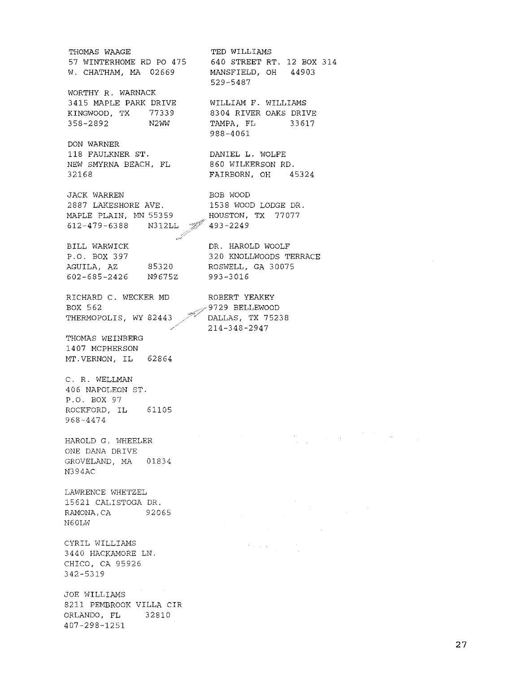THOMAS WAAGE TED WILLIAMS 57 WINTERHOME RD PO 475 640 STREET RT. 12 BOX 314 W. CHATHAM, MA 02669 MANSFIELD, OH 44903 529-5487 WORTHY R. WARNACK 3415 MAPLE PARK DRIVE WILLIAM F. WILLIAMS KINGWOOD, TX 77339 8304 RIVER OAKS DRIVE 358-2892 N2WW TAMPA, FL 33617 988-4061 DON WARNER 118 FAULKNER ST. DANIEL L. WOLFE NEW SMYRNA BEACH, FL 860 WILKERSON RD. 32168 FAIRBORN, OH 45324 JACK WARREN BOB WOOD 2887 LAKESHORE AVE. 1538 WOOD LODGE DR. MAPLE PLAIN, MN 55359 HOUSTON, TX 77077 612-479-6388 N312LL 493-2249 BILL WARWICK DR. HAROLD WOOLF P.O. BOX 397 320 KNOLLWOODS TERRACE 85320 ROSWELL, GA 30075 AGUILA, AZ 602-685-2426 N9675Z 993-3016 RICHARD C. WECKER MD ROBERT YEAKEY BOX 562 9729 BELLEWOOD THERMOPOLIS, WY 82443 DALLAS, TX 75238 214-348-2947 THOMAS WEINBERG 1407 MCPHERSON MT.VERNON, IL 62864 C. R. WELLMAN 406 NAPOLEON ST. P.O. BOX 97 ROCKFORD, IL 61105 968-4474  $\label{eq:2.1} \frac{d\mathbf{r}}{d\mathbf{r}} = \frac{1}{2\pi}\left(\frac{1}{2}\mathbf{r}^2 + \frac{1}{2}\mathbf{r}^2\right) \mathbf{r}^2 + \frac{1}{2}\mathbf{r}^2\mathbf{r}^2 + \frac{1}{2}\mathbf{r}^2\mathbf{r}^2 + \frac{1}{2}\mathbf{r}^2\mathbf{r}^2 + \frac{1}{2}\mathbf{r}^2\mathbf{r}^2 + \frac{1}{2}\mathbf{r}^2\mathbf{r}^2 + \frac{1}{2}\mathbf{r}^2\mathbf{r}^2 + \frac{$ HAROLD G. WHEELER ONE DANA DRIVE GROVELAND, MA 01834 N394AC LAWRENCE WHETZEL 15621 CALISTOGA DR. RAMONA,CA 92065 N60LW CYRIL WILLIAMS  $\gamma$  ,  $\gamma$  ,  $\gamma$ 3440 HACKAMORE LN. CHICO, CA 95926 342-5319 JOE WILLIAMS 8211 PEMBROOK VILLA CIR ORLANDO, FL 32810 407-298-1251